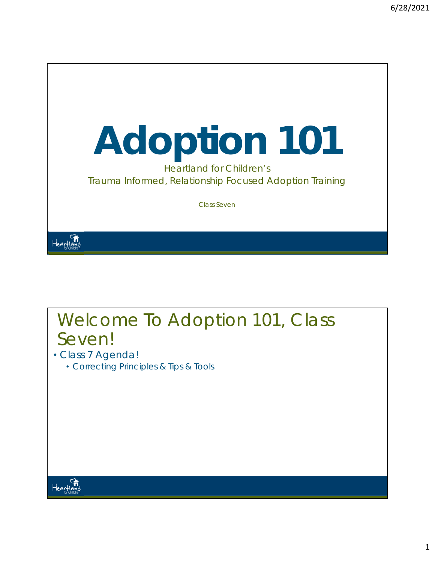

Class Seven

### Welcome To Adoption 101, Class Seven!

- Class 7 Agenda!
	- Correcting Principles & Tips & Tools



Heartland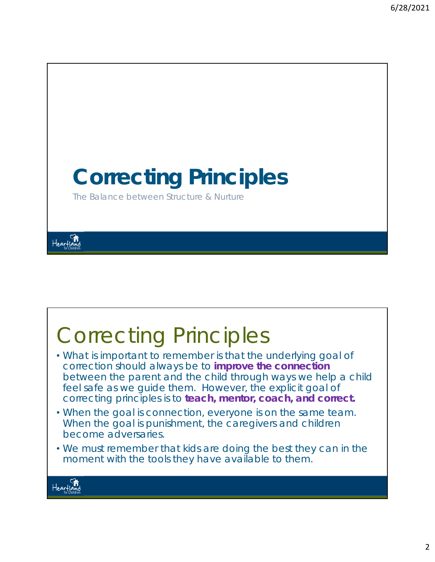

# Correcting Principles

- What is important to remember is that the underlying goal of correction should always be to *improve the connection*  between the parent and the child through ways we help a child feel safe as we guide them. However, the explicit goal of correcting principles is to *teach, mentor, coach, and correct***.**
- When the goal is connection, everyone is on the same team. When the goal is punishment, the caregivers and children become adversaries.
- We must remember that kids are doing the best they can in the moment with the tools they have available to them.

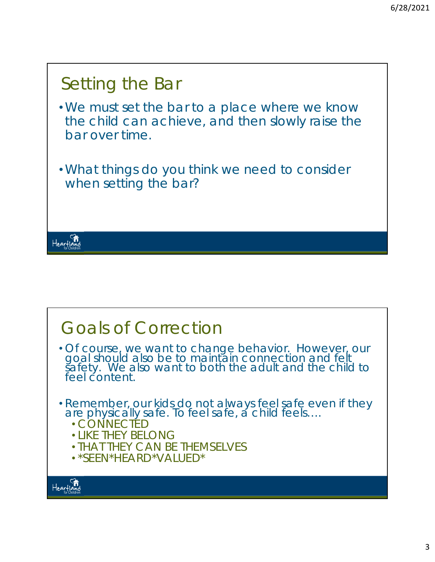

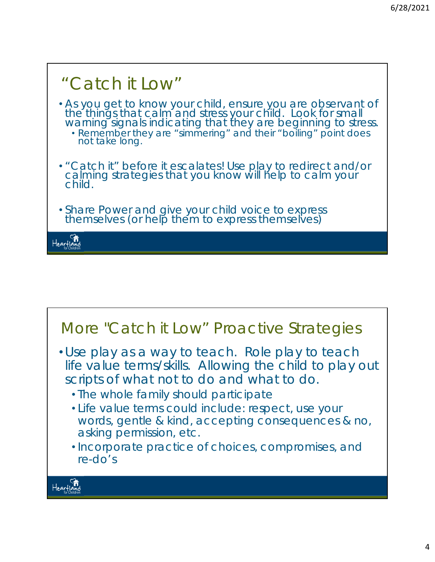

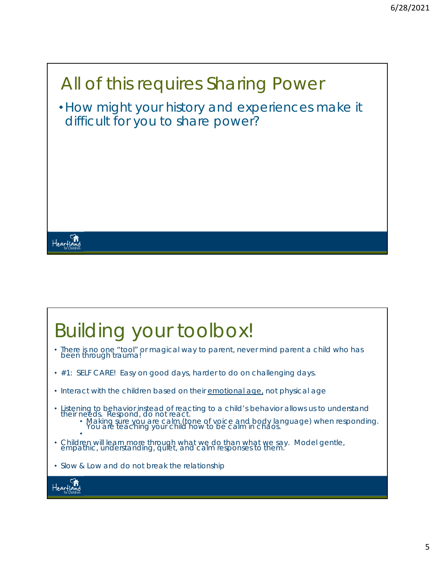# All of this requires Sharing Power •How might your history and experiences make it difficult for you to share power?

### Building your toolbox!

- There is no one "tool" or magical way to parent, never mind parent a child who has been through trauma!
- #1: SELF CARE! Easy on good days, harder to do on challenging days.
- Interact with the children based on their emotional age, not physical age
- *Listening* to behavior instead of reacting to a child's behavior allows us to understand<br>their needs. *Respond*, do not react.<br>• Making sure you are calm (tone of voice and body language) when responding.<br>You are teachi
- • Children will learn more through what we do than what we say. Model gentle, empathic, understanding, quiet, and calm responses to them.
- Slow & Low and do not break the relationship

Heartland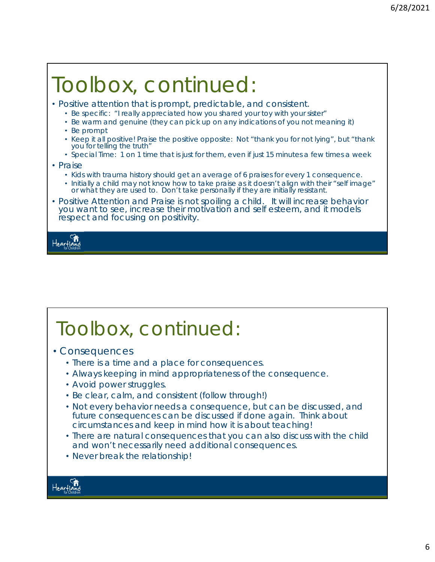# Toolbox, continued:

- Positive attention that is prompt, predictable, and consistent.
	- Be specific: "I really appreciated how you shared your toy with your sister"
	- Be warm and genuine (they can pick up on any indications of you not meaning it)
	- Be prompt
	- Keep it all positive! Praise the positive opposite: Not "thank you for not lying", but "thank you for telling the truth"
	- Special Time: 1 on 1 time that is just for them, even if just 15 minutes a few times a week
- Praise
	- Kids with trauma history should get an average of 6 praises for every 1 consequence.
	- Initially a child may not know how to take praise as it doesn't align with their "self image" or what they are used to. Don't take personally if they are initially resistant.
- Positive Attention and Praise is not spoiling a child. It will increase behavior you want to see, increase their motivation and self esteem, and it models respect and focusing on positivity.

Hearfla

## Toolbox, continued:

- Consequences
	- There is a time and a place for consequences.
	- Always keeping in mind appropriateness of the consequence.
	- Avoid power struggles.
	- Be clear, calm, and consistent (follow through!)
	- Not every behavior needs a consequence, but can be discussed, and future consequences can be discussed if done again. Think about circumstances and keep in mind how it is about teaching!
	- There are natural consequences that you can also discuss with the child and won't necessarily need additional consequences.
	- Never break the relationship!

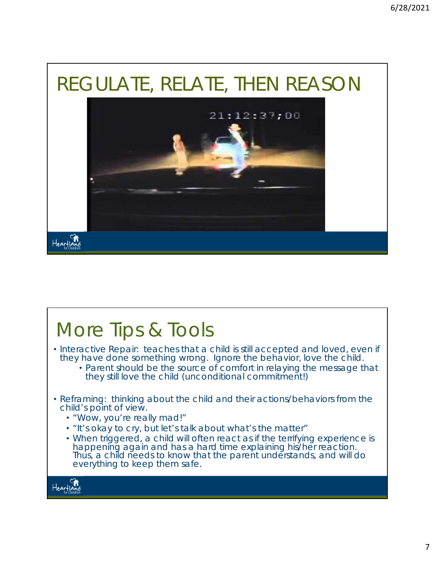## REGULATE, RELATE, THEN REASON



#### More Tips & Tools • Interactive Repair: teaches that a child is still accepted and loved, even if they have done something wrong. *Ignore the behavior, love the child.*  • Parent should be the source of comfort in relaying the message that they still love the child (unconditional commitment!) • Reframing: thinking about the child and their actions/behaviors from the child's point of view. • *"Wow, you're really mad!"*  • *"It's okay to cry, but let's talk about what's the matter"* • When triggered, a child will often react as if the terrifying experience is happening again and has a hard time explaining his/her reaction. Thus, a child needs to know that the parent understands, and will do everything to keep them safe. Heartland<br>Heartland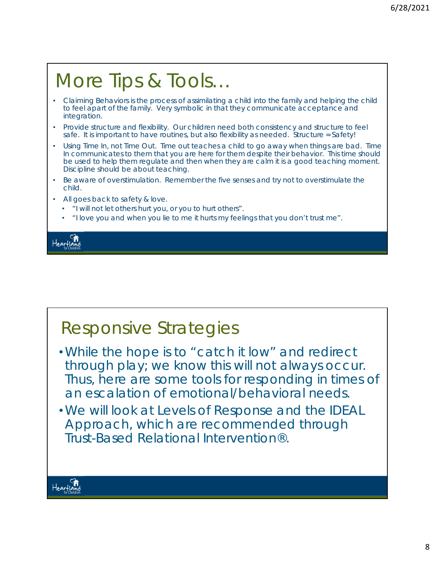### More Tips & Tools…

- Claiming Behaviors is the process of assimilating a child into the family and helping the child to feel apart of the family. Very symbolic in that they communicate acceptance and integration.
- Provide structure and flexibility. Our children need both consistency and structure to feel safe. It is important to have routines, but also flexibility as needed. Structure = Safety!
- Using Time In, not Time Out. Time out teaches a child to go away when things are bad. Time In communicates to them that you are here for them despite their behavior. This time should be used to help them regulate and then when they are calm it is a good teaching moment. Discipline should be about teaching.
- Be aware of overstimulation. Remember the five senses and try not to overstimulate the child.
- All goes back to safety & love.
	- "I will not let others hurt you, or you to hurt others".
	- "I love you and when you lie to me it hurts my feelings that you don't trust me".

Heartla

### Responsive Strategies

- •While the hope is to "catch it low" and redirect through play; we know this will not always occur. Thus, here are some tools for responding in times of an escalation of emotional/behavioral needs.
- •We will look at Levels of Response and the IDEAL Approach, which are recommended through Trust-Based Relational Intervention®.

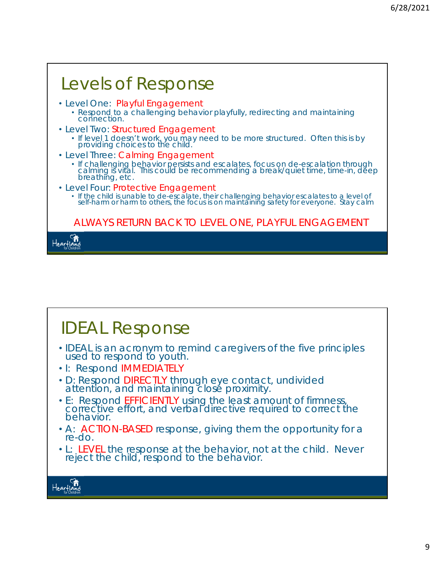٦

| Levels of Response                                                                                                                                                                                                         |
|----------------------------------------------------------------------------------------------------------------------------------------------------------------------------------------------------------------------------|
| · Level One: Playful Engagement<br>• Respond to a challenging behavior playfully, redirecting and maintaining connection.                                                                                                  |
| • Level Two: Structured Engagement<br>• If level 1 doesn't work, you may need to be more structured. Often this is by providing choices to the child.                                                                      |
| • Level Three: Calming Engagement<br>• If challenging behavior persists and escalates, focus on de-escalation through calming is vital. This could be recommending a break/quiet time, time-in, deep<br>breathing, etc.    |
| • Level Four: Protective Engagement<br>• If the child is unable to de-escalate, their challenging behavior escalates to a level of self-harm or harm to others, the focus is on maintaining safety for everyone. Stay calm |
| ALWAYS RETURN BACK TO LEVEL ONE, PLAYFUL ENGAGEMENT                                                                                                                                                                        |
|                                                                                                                                                                                                                            |

### IDEAL Response

- IDEAL is an acronym to remind caregivers of the five principles used to respond to youth.
- I: Respond *IMMEDIATELY*
- D: Respond *DIRECTLY* through eye contact, undivided attention, and maintaining close proximity.
- E: Respond *EFFICIENTLY* using the least amount of firmness, corrective effort, and verbal directive required to correct the behavior.
- A: *ACTION-BASED* response, giving them the opportunity for a re-do.
- L: *LEVEL* the response at the behavior, not at the child. Never reject the child, respond to the behavior.



г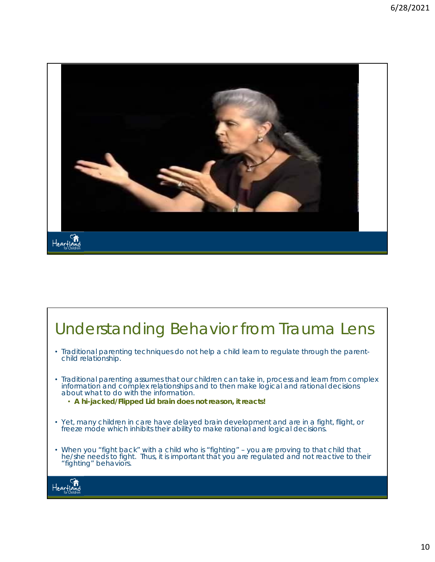

### Understanding Behavior from Trauma Lens

- Traditional parenting techniques do not help a child learn to regulate through the parentchild relationship.
- Traditional parenting assumes that our children can take in, process and learn from complex information and complex relationships and to then make logical and rational decisions about what to do with the information.
	- **A hi-jacked/Flipped Lid brain does not reason, it reacts!**
- Yet, many children in care have delayed brain development and are in a fight, flight, or freeze mode which inhibits their ability to make rational and logical decisions.
- When you "fight back" with a child who is "fighting" you are proving to that child that he/she needs to fight. Thus, it is important that you are regulated and not reactive to their "fighting" behaviors.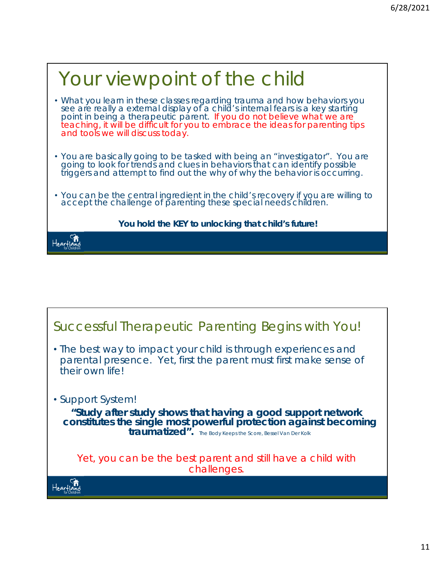| Your viewpoint of the child                                                                                                                                                                                                                                                                                                                                 |
|-------------------------------------------------------------------------------------------------------------------------------------------------------------------------------------------------------------------------------------------------------------------------------------------------------------------------------------------------------------|
| . What you learn in these classes regarding trauma and how behaviors you<br>see are really a external display of a child's internal fears is a key starting<br>point in being a therapeutic parent. If you do not believe what we are<br>teaching, it will be difficult for you to embrace the ideas for parenting tips<br>and tools we will discuss today. |
| • You are basically going to be tasked with being an "investigator". You are going to look for trends and clues in behaviors that can identify possible<br>triggers and attempt to find out the why of why the behavior is occurring.                                                                                                                       |
| • You can be the <i>central ingredient</i> in the child's recovery if you are willing to accept the challenge of parenting these special needs children.                                                                                                                                                                                                    |
| You hold the KEY to unlocking that child's future!                                                                                                                                                                                                                                                                                                          |
|                                                                                                                                                                                                                                                                                                                                                             |